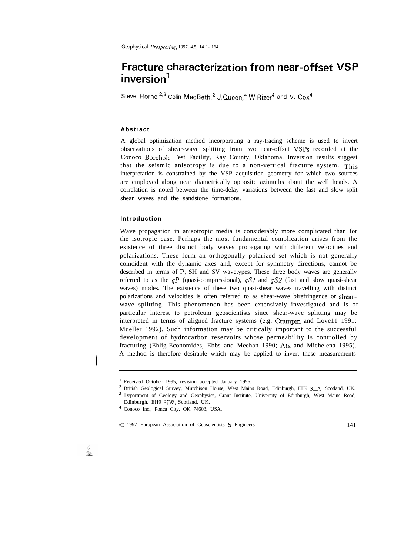*Geophysical I'rospectirg,* 1997, 4.5, 14 1- 164

# **Fracture characterization from near-offset VSP inversion'**

Steve Horne,<sup>2,3</sup> Colin MacBeth,<sup>2</sup> J.Queen.<sup>4</sup> W.Rizer<sup>4</sup> and V. Cox<sup>4</sup>

# **Abstract**

A global optimization method incorporating a ray-tracing scheme is used to invert observations of shear-wave splitting from two near-offset VSPs recorded at the Conoco Borehole Test Facility, Kay County, Oklahoma. Inversion results suggest that the seismic anisotropy is due to a non-vertical fracture system. This interpretation is constrained by the VSP acquisition geometry for which two sources are employed along near diametrically opposite azimuths about the well heads. A correlation is noted between the time-delay variations between the fast and slow split shear waves and the sandstone formations.

# **Introduction**

Wave propagation in anisotropic media is considerably more complicated than for the isotropic case. Perhaps the most fundamental complication arises from the existence of three distinct body waves propagating with different velocities and polarizations. These form an orthogonally polarized set which is not generally coincident with the dynamic axes and, except for symmetry directions, cannot be described in terms of P, SH and SV wavetypes. These three body waves are generally referred to as the  $qP$  (quasi-compressional),  $qS1$  and  $qS2$  (fast and slow quasi-shear waves) modes. The existence of these two quasi-shear waves travelling with distinct polarizations and velocities is often referred to as shear-wave birefringence or shearwave splitting. This phenomenon has been extensively investigated and is of particular interest to petroleum geoscientists since shear-wave splitting may be interpreted in terms of aligned fracture systems (e.g. Crampin and Love11 1991; Mueller 1992). Such information may be critically important to the successful development of hydrocarbon reservoirs whose permeability is controlled by fracturing (Ehlig-Economides, Ebbs and Meehan 1990; Ata and Michelena 1995). A method is therefore desirable which may be applied to invert these measurements

<sup>&#</sup>x27; Received October 1995, revision accepted January 1996.

<sup>2</sup> British Geological Survey, Murchison House, West Mains Road, Edinburgh, EH9 3LA, Scotland, UK. 3 Department of Geology and Geophysics, Grant Institute, University of Edinburgh, West Mains Road, Edinburgh, EH9 3JW, Scotland, UK.

<sup>4</sup> Conoco Inc., Ponca City, OK 74603, USA.

<sup>0 1997</sup> European Association of Geoscientists & Engineers <sup>141</sup>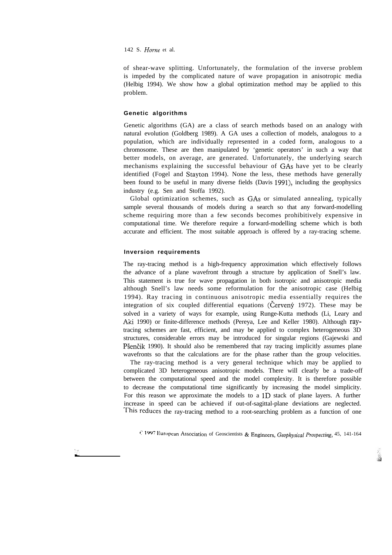## 142 S. *Home* et al.

of shear-wave splitting. Unfortunately, the formulation of the inverse problem is impeded by the complicated nature of wave propagation in anisotropic media (Helbig 1994). We show how a global optimization method may be applied to this problem.

# **Genetic algorithms**

Genetic algorithms (GA) are a class of search methods based on an analogy with natural evolution (Goldberg 1989). A GA uses a collection of models, analogous to a population, which are individually represented in a coded form, analogous to a chromosome. These are then manipulated by 'genetic operators' in such a way that better models, on average, are generated. Unfortunately, the underlying search mechanisms explaining the successful behaviour of GAS have yet to be clearly identified (Fogel and Stayton 1994). None the less, these methods have generally been found to be useful in many diverse fields (Davis 1991), including the geophysics industry (e.g. Sen and Stoffa 1992).

Global optimization schemes, such as GAS or simulated annealing, typically sample several thousands of models during a search so that any forward-modelling scheme requiring more than a few seconds becomes prohibitively expensive in computational time. We therefore require a forward-modelling scheme which is both accurate and efficient. The most suitable approach is offered by a ray-tracing scheme.

## **Inversion requirements**

The ray-tracing method is a high-frequency approximation which effectively follows the advance of a plane wavefront through a structure by application of Snell's law. This statement is true for wave propagation in both isotropic and anisotropic media although Snell's law needs some reformulation for the anisotropic case (Helbig 1994). Ray tracing in continuous anisotropic media essentially requires the integration of six coupled differential equations (Cerveny  $1972$ ). These may be solved in a variety of ways for example, using Runge-Kutta methods (Li, Leary and Aki 1990) or finite-difference methods (Pereya, Lee and Keller 1980). Although raytracing schemes are fast, efficient, and may be applied to complex heterogeneous 3D structures, considerable errors may be introduced for singular regions (Gajewski and Pšenčik 1990). It should also be remembered that ray tracing implicitly assumes plane wavefronts so that the calculations are for the phase rather than the group velocities.

The ray-tracing method is a very general technique which may be applied to complicated 3D heterogeneous anisotropic models. There will clearly be a trade-off between the computational speed and the model complexity. It is therefore possible to decrease the computational time significantly by increasing the model simplicity. For this reason we approximate the models to a 1D stack of plane layers. A further increase in speed can be achieved if out-of-sagittal-plane deviations are neglected. This reduces the ray-tracing method to a root-searching problem as a function of one

<sup>C</sup> 1997 European Association of Geoscientists & Engineers, Geophysical Prospecting, <sup>45, 141-164</sup>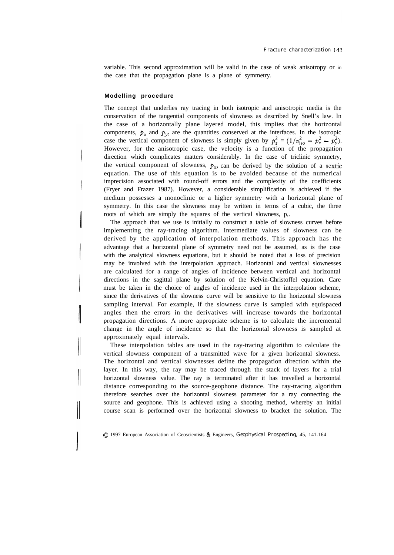variable. This second approximation will be valid in the case of weak anisotropy or in the case that the propagation plane is a plane of symmetry.

## **Modelling procedure**

I

The concept that underlies ray tracing in both isotropic and anisotropic media is the conservation of the tangential components of slowness as described by Snell's law. In the case of a horizontally plane layered model, this implies that the horizontal components,  $p_x$  and  $p_y$ , are the quantities conserved at the interfaces. In the isotropic case the vertical component of slowness is simply given by  $p_z^2 = (1/v_{\text{iso}}^2 - p_x^2 - p_y^2)$ . However, for the anisotropic case, the velocity is a function of the propagation direction which complicates matters considerably. In the case of triclinic symmetry, the vertical component of slowness,  $p_z$ , can be derived by the solution of a sextic equation. The use of this equation is to be avoided because of the numerical imprecision associated with round-off errors and the complexity of the coefficients (Fryer and Frazer 1987). However, a considerable simplification is achieved if the medium possesses a monoclinic or a higher symmetry with a horizontal plane of symmetry. In this case the slowness may be written in terms of a cubic, the three roots of which are simply the squares of the vertical slowness, p,.

The approach that we use is initially to construct a table of slowness curves before implementing the ray-tracing algorithm. Intermediate values of slowness can be derived by the application of interpolation methods. This approach has the advantage that a horizontal plane of symmetry need not be assumed, as is the case with the analytical slowness equations, but it should be noted that a loss of precision may be involved with the interpolation approach. Horizontal and vertical slownesses are calculated for a range of angles of incidence between vertical and horizontal directions in the sagittal plane by solution of the Kelvin-Christoffel equation. Care must be taken in the choice of angles of incidence used in the interpolation scheme, since the derivatives of the slowness curve will be sensitive to the horizontal slowness sampling interval. For example, if the slowness curve is sampled with equispaced angles then the errors in the derivatives will increase towards the horizontal propagation directions. A more appropriate scheme is to calculate the incremental change in the angle of incidence so that the horizontal slowness is sampled at approximately equal intervals.

These interpolation tables are used in the ray-tracing algorithm to calculate the vertical slowness component of a transmitted wave for a given horizontal slowness. The horizontal and vertical slownesses define the propagation direction within the layer. In this way, the ray may be traced through the stack of layers for a trial horizontal slowness value. The ray is terminated after it has travelled a horizontal distance corresponding to the source-geophone distance. The ray-tracing algorithm therefore searches over the horizontal slowness parameter for a ray connecting the source and geophone. This is achieved using a shooting method, whereby an initial course scan is performed over the horizontal slowness to bracket the solution. The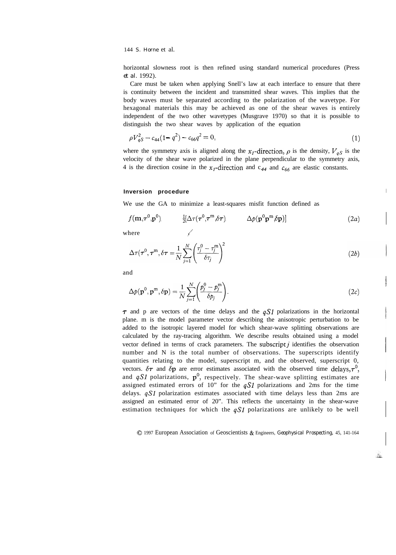horizontal slowness root is then refined using standard numerical procedures (Press *et al.* 1992).

Care must be taken when applying Snell's law at each interface to ensure that there is continuity between the incident and transmitted shear waves. This implies that the body waves must be separated according to the polarization of the wavetype. For hexagonal materials this may be achieved as one of the shear waves is entirely independent of the two other wavetypes (Musgrave 1970) so that it is possible to distinguish the two shear waves by application of the equation

$$
\rho V_{qS}^2 - c_{44}(1 - q^2) - c_{66}q^2 = 0,\tag{1}
$$

where the symmetry axis is aligned along the  $x_I$ -direction,  $\rho$  is the density,  $V_{qS}$  is the velocity of the shear wave polarized in the plane perpendicular to the symmetry axis, 4 is the direction cosine in the  $x_1$ -direction and c<sub>44</sub> and c<sub>66</sub> are elastic constants.

#### **Inversion procedure**

We use the GA to minimize a least-squares misfit function defined as

$$
f(\mathbf{m}, \boldsymbol{\tau}^{0}, \mathbf{p}^{0}) \qquad \frac{1}{2} [\Delta \boldsymbol{\tau} (\boldsymbol{\tau}^{0}, \boldsymbol{\tau}^{m}, \delta \boldsymbol{\tau})] \qquad \Delta p(\mathbf{p}^{0} \mathbf{p}^{m}, \delta \mathbf{p})] \qquad (2a)
$$

where  $\sqrt{ }$ 

$$
\Delta \tau(\tau^0, \tau^m, \delta \tau) = \frac{1}{N} \sum_{j=1}^{N} \left( \frac{\tau_j^0 - \tau_j^m}{\delta \tau_j} \right)^2 \tag{2b}
$$

and

$$
\Delta p(\mathbf{p}^0, \mathbf{p}^m, \delta \mathbf{p}) = \frac{1}{N} \sum_{j=1}^N \left( \frac{p_j^0 - p_j^m}{\delta p_j} \right).
$$
 (2*c*)

I

 $\mathcal{L}_{\mathcal{B}}$ 

 $\tau$  and p are vectors of the time delays and the  $qS1$  polarizations in the horizontal plane. m is the model parameter vector describing the anisotropic perturbation to be added to the isotropic layered model for which shear-wave splitting observations are calculated by the ray-tracing algorithm. We describe results obtained using a model vector defined in terms of crack parameters. The subscript  $j$  identifies the observation number and N is the total number of observations. The superscripts identify quantities relating to the model, superscript m, and the observed, superscript 0, vectors.  $\delta\tau$  and  $\delta p$  are error estimates associated with the observed time delays,  $\tau^0$ , and  $qSI$  polarizations,  $p^0$ , respectively. The shear-wave splitting estimates are assigned estimated errors of 10" for the  $qS1$  polarizations and 2ms for the time delays.  $qSI$  polarization estimates associated with time delays less than 2ms are assigned an estimated error of 20". This reflects the uncertainty in the shear-wave estimation techniques for which the  $qS1$  polarizations are unlikely to be well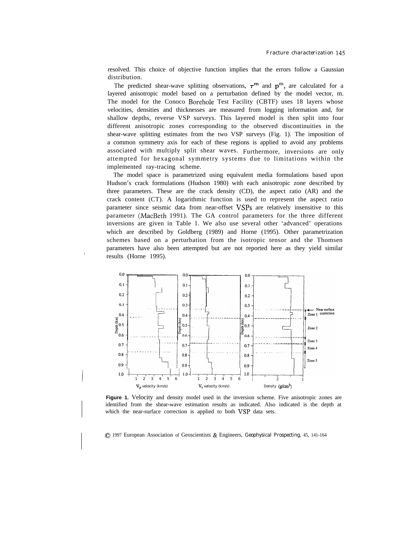resolved. This choice of objective function implies that the errors follow a Gaussian distribution.

The predicted shear-wave splitting observations,  $\tau^m$  and  $p^m$ , are calculated for a layered anisotropic model based on a perturbation defined by the model vector, m. The model for the Conoco Borehole Test Facility (CBTF) uses 18 layers whose velocities, densities and thicknesses are measured from logging information and, for shallow depths, reverse VSP surveys. This layered model is then split into four different anisotropic zones corresponding to the observed discontinuities in the shear-wave splitting estimates from the two VSP surveys (Fig. 1). The imposition of a common symmetry axis for each of these regions is applied to avoid any problems associated with multiply split shear waves. Furthermore, inversions are only attempted for hexagonal symmetry systems due to limitations within the implemented ray-tracing scheme.

The model space is parametrized using equivalent media formulations based upon Hudson's crack formulations (Hudson 1980) with each anisotropic zone described by three parameters. These are the crack density (CD), the aspect ratio (AR) and the crack content (CT). A logarithmic function is used to represent the aspect ratio parameter since seismic data from near-offset VSPs are relatively insensitive to this parameter (MacBeth 1991). The GA control parameters for the three different inversions are given in Table 1. We also use several other 'advanced' operations which are described by Goldberg (1989) and Horne (1995). Other parametrization schemes based on a perturbation from the isotropic tensor and the Thomsen parameters have also been attempted but are not reported here as they yield similar results (Horne 1995).



Figure 1. Velocity and density model used in the inversion scheme. Five anisotropic zones are identified from the shear-wave estimation results as indicated. Also indicated is the depth at which the near-surface correction is applied to both VSP data sets.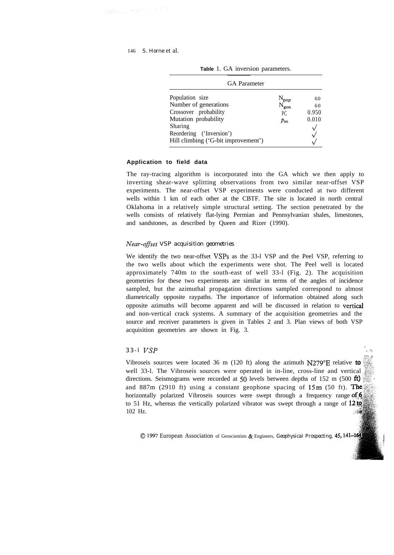neko ampirintzaile

| <b>GA</b> Parameter                                                                                                                                                     |                                                            |                                                          |  |  |
|-------------------------------------------------------------------------------------------------------------------------------------------------------------------------|------------------------------------------------------------|----------------------------------------------------------|--|--|
| Population size<br>Number of generations<br>Crossover probability<br>Mutation probability<br>Sharing<br>Reordering ('Inversion')<br>Hill climbing ('G-bit improvement') | $\frac{N_{pop}}{N_{gen}}$<br>P <sub>C</sub><br>$p_{\rm m}$ | 60<br>60<br>0.950<br>0.010<br>$\sqrt{ }$<br>$\checkmark$ |  |  |

**Table** 1. GA inversion parameters.

#### **Application to field data**

The ray-tracing algorithm is incorporated into the GA which we then apply to inverting shear-wave splitting observations from two similar near-offset VSP experiments. The near-offset VSP experiments were conducted at two different wells within 1 km of each other at the CBTF. The site is located in north central Oklahoma in a relatively simple structural setting. The section penetrated by the wells consists of relatively flat-lying Permian and Pennsylvanian shales, limestones, and sandstones, as described by Queen and Rizer (1990).

## *Near-0fSset VSP acquisition geometries*

We identify the two near-offset VSPs as the 33-l VSP and the Peel VSP, referring to the two wells about which the experiments were shot. The Peel well is located approximately 740m to the south-east of well 33-l (Fig. 2). The acquisition geometries for these two experiments are similar in terms of the angles of incidence sampled, but the azimuthal propagation directions sampled correspond to almost diametrically opposite raypaths. The importance of information obtained along such opposite azimuths will become apparent and will be discussed in relation to vertical and non-vertical crack systems. A summary of the acquisition geometries and the source and receiver parameters is given in Tables 2 and 3. Plan views of both VSP acquisition geometries are shown in Fig. 3.

# *33-l VSP*

Vibroseis sources were located 36 m (120 ft) along the azimuth  $N279^{\circ}E$  relative to well 33-1. The Vibroseis sources were operated in in-line, cross-line and vertical directions. Seismograms were recorded at 50 levels between depths of 152 m (500  $\text{ft}$ ) and  $887m$  (2910 ft) using a constant geophone spacing of  $15m$  (50 ft). The horizontally polarized Vibroseis sources were swept through a frequency range of 6 to 51 Hz, whereas the vertically polarized vibrator was swept through a range of  $12<sub>10</sub>$ 102 Hz. ្លាឡៃ

*. -i* ;\*- p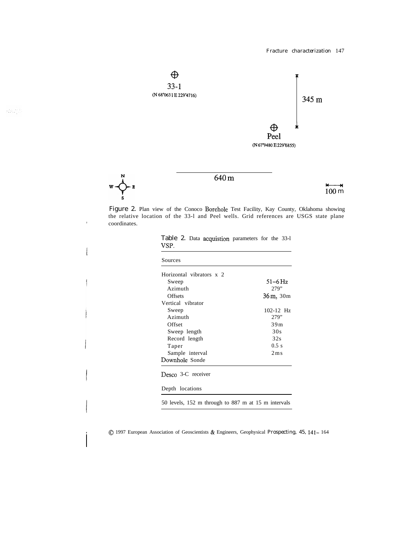

 $\mathbb{R}^{2g}$  ,  $\mathbb{R}^{2g}$ 

 $\boldsymbol{\mathrm{w}}$ 

 $\epsilon$ 

Figure 2. Plan view of the Conoco Borehole Test Facility, Kay County, Oklahoma showing the relative location of the 33-l and Peel wells. Grid references are USGS state plane coordinates.

| Sources                                             |                              |
|-----------------------------------------------------|------------------------------|
| Horizontal vibrators x 2                            |                              |
| Sweep                                               | 51–6 Hz                      |
| Azimuth                                             | 279"                         |
| <b>Offsets</b>                                      | 36 m, 30 m                   |
| Vertical vibrator                                   |                              |
| Sweep                                               | $102 - 12$ Hz                |
| Azimuth                                             | 279"                         |
| Offset                                              | 39m                          |
| Sweep length                                        | 30s                          |
| Record length                                       | 32s                          |
| Taper                                               | 0.5 s                        |
| Sample interval                                     | $2 \,\mathrm{m}\,\mathrm{s}$ |
| Downhole Sonde                                      |                              |
| Desco 3-C receiver                                  |                              |
| Depth locations                                     |                              |
| 50 levels, 152 m through to 887 m at 15 m intervals |                              |

|      |  | Table 2. Data acquistion parameters for the 33-1 |  |  |
|------|--|--------------------------------------------------|--|--|
| VSP. |  |                                                  |  |  |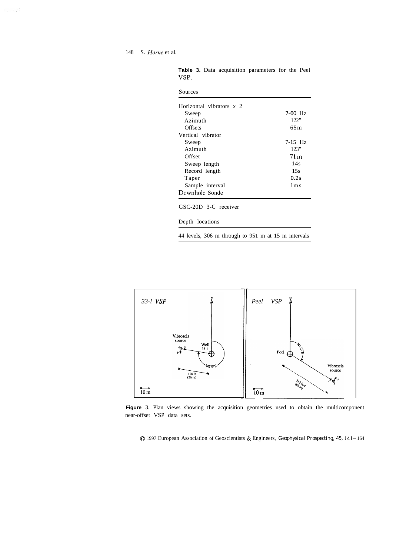## 148 S. *Home* et al.

| Sources                  |                 |
|--------------------------|-----------------|
| Horizontal vibrators x 2 |                 |
| Sweep                    | $7-60$ Hz       |
| Azimuth                  | 122"            |
| Offsets                  | 65m             |
| Vertical vibrator        |                 |
| Sweep                    | $7-15$ Hz       |
| Azimuth                  | 123"            |
| Offset                   | 71 <sub>m</sub> |
| Sweep length             | 14s             |
| Record length            | 15s             |
| Taper                    | 0.2s            |
| Sample interval          | $1m$ s          |
| Downhole Sonde           |                 |

**Table 3.** Data acquisition parameters for the Peel VSP.

GSC-20D 3-C receiver

Depth locations

44 levels, 306 m through to 951 m at 15 m intervals



**Figure** 3. Plan views showing the acquisition geometries used to obtain the multicomponent near-offset VSP data sets.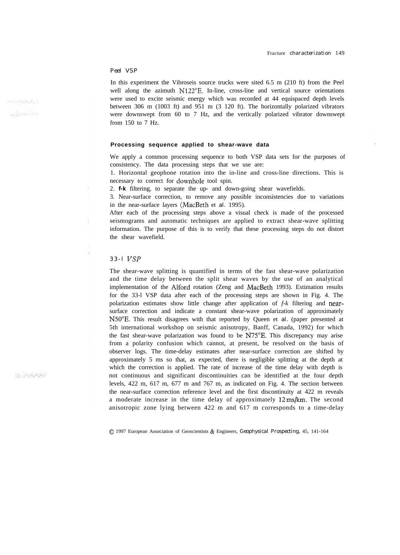# *Peel VSP*

In this experiment the Vibroseis source trucks were sited 6.5 m (210 ft) from the Peel well along the azimuth N122<sup>o</sup>E. In-line, cross-line and vertical source orientations were used to excite seismic energy which was recorded at 44 equispaced depth levels between 306 m (1003 ft) and 951 m (3 120 ft). The horizontally polarized vibrators were downswept from 60 to 7 Hz, and the vertically polarized vibrator downswept from 150 to 7 Hz.

#### **Processing sequence applied to shear-wave data**

We apply a common processing sequence to both VSP data sets for the purposes of consistency. The data processing steps that we use are:

1. Horizontal geophone rotation into the in-line and cross-line directions. This is necessary to correct for downhole tool spin.

2. *f-k* filtering, to separate the up- and down-going shear wavefields.

3. Near-surface correction, to remove any possible inconsistencies due to variations in the near-surface layers (MacBeth et *al.* 1995).

After each of the processing steps above a visual check is made of the processed seismograms and automatic techniques are applied to extract shear-wave splitting information. The purpose of this is to verify that these processing steps do not distort the shear wavefield.

#### *33-l VSP*

The shear-wave splitting is quantified in terms of the fast shear-wave polarization and the time delay between the split shear waves by the use of an analytical implementation of the Alford rotation (Zeng and MacBeth 1993). Estimation results for the 33-l VSP data after each of the processing steps are shown in Fig. 4. The polarization estimates show little change after application of *f-k* filtering and nearsurface correction and indicate a constant shear-wave polarization of approximately N50"E. This result disagrees with that reported by Queen et *al.* (paper presented at 5th international workshop on seismic anisotropy, Banff, Canada, 1992) for which the fast shear-wave polarization was found to be N75"E. This discrepancy may arise from a polarity confusion which cannot, at present, be resolved on the basis of observer logs. The time-delay estimates after near-surface correction are shifted by approximately 5 ms so that, as expected, there is negligible splitting at the depth at which the correction is applied. The rate of increase of the time delay with depth is not continuous and significant discontinuities can be identified at the four depth levels, 422 m, 617 m, 677 m and 767 m, as indicated on Fig. 4. The section between the near-surface correction reference level and the first discontinuity at 422 m reveals a moderate increase in the time delay of approximately 12ms/km. The second anisotropic zone lying between 422 m and 617 m corresponds to a time-delay

ali je planatki

0 1997 European Association of Geoscientists & Engineers, *Geophysical Prospecting,* 45, 141-164

aan, Paranjin ji มเรียนของว่า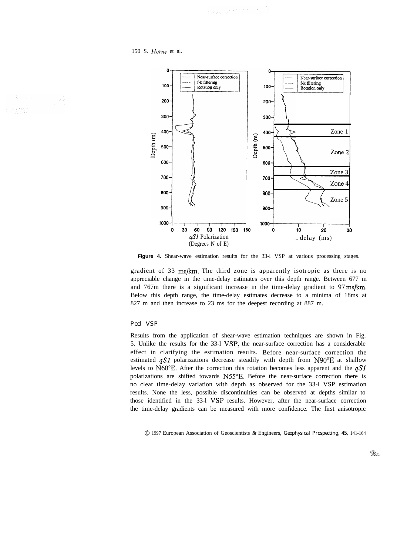150 S. *Home* et al.



**Figure 4.** Shear-wave estimation results for the 33-l VSP at various processing stages.

gradient of 33 ms/km. The third zone is apparently isotropic as there is no appreciable change in the time-delay estimates over this depth range. Between 677 m and 767m there is a significant increase in the time-delay gradient to 97ms/km. Below this depth range, the time-delay estimates decrease to a minima of 18ms at 827 m and then increase to 23 ms for the deepest recording at 887 m.

#### *Peel VSP*

Results from the application of shear-wave estimation techniques are shown in Fig. 5. Unlike the results for the 33-l VSP, the near-surface correction has a considerable effect in clarifying the estimation results. Before near-surface correction the estimated  $qSI$  polarizations decrease steadily with depth from N90°E at shallow levels to N60 $^{\circ}$ E. After the correction this rotation becomes less apparent and the  $qS1$ polarizations are shifted towards N55"E. Before the near-surface correction there is no clear time-delay variation with depth as observed for the 33-l VSP estimation results. None the less, possible discontinuities can be observed at depths similar to those identified in the 33-1 VSP results. However, after the near-surface correction the time-delay gradients can be measured with more confidence. The first anisotropic

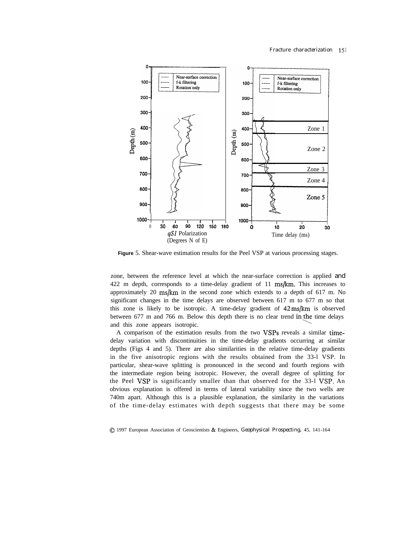

**Figure** 5. Shear-wave estimation results for the Peel VSP at various processing stages.

zone, between the reference level at which the near-surface correction is applied and 422 m depth, corresponds to a time-delay gradient of  $11 \text{ ms/km}$ . This increases to approximately 20 ms/km in the second zone which extends to a depth of 617 m. No significant changes in the time delays are observed between 617 m to 677 m so that this zone is likely to be isotropic. A time-delay gradient of 42ms/km is observed between  $677$  m and  $766$  m. Below this depth there is no clear trend in the time delays and this zone appears isotropic.

A comparison of the estimation results from the two VSPs reveals a similar timedelay variation with discontinuities in the time-delay gradients occurring at similar depths (Figs 4 and 5). There are also similarities in the relative time-delay gradients in the five anisotropic regions with the results obtained from the 33-l VSP. In particular, shear-wave splitting is pronounced in the second and fourth regions with the intermediate region being isotropic. However, the overall degree of splitting for the Peel VSP is significantly smaller than that observed for the 33-l VSP. An obvious explanation is offered in terms of lateral variability since the two wells are 740m apart. Although this is a plausible explanation, the similarity in the variations of the time-delay estimates with depth suggests that there may be some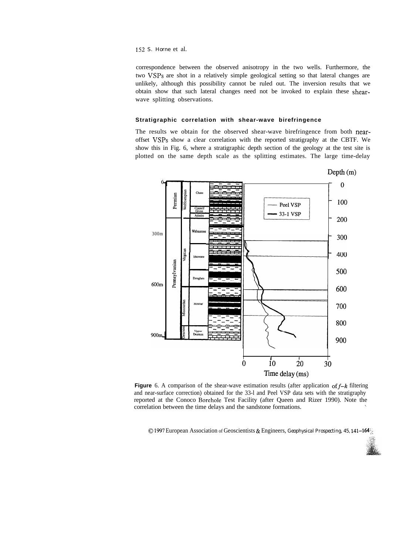correspondence between the observed anisotropy in the two wells. Furthermore, the two VSPs are shot in a relatively simple geological setting so that lateral changes are unlikely, although this possibility cannot be ruled out. The inversion results that we obtain show that such lateral changes need not be invoked to explain these shearwave splitting observations.

## **Stratigraphic correlation with shear-wave birefringence**

The results we obtain for the observed shear-wave birefringence from both nearoffset VSPs show a clear correlation with the reported stratigraphy at the CBTF. We show this in Fig. 6, where a stratigraphic depth section of the geology at the test site is plotted on the same depth scale as the splitting estimates. The large time-delay

![](_page_11_Figure_4.jpeg)

**Figure** 6. A comparison of the shear-wave estimation results (after application of  $f-k$  filtering and near-surface correction) obtained for the 33-l and Peel VSP data sets with the stratigraphy reported at the Conoco Borehole Test Facility (after Queen and Rizer 1990). Note the correlation between the time delays and the sandstone formations. <sup>I</sup>

![](_page_11_Picture_7.jpeg)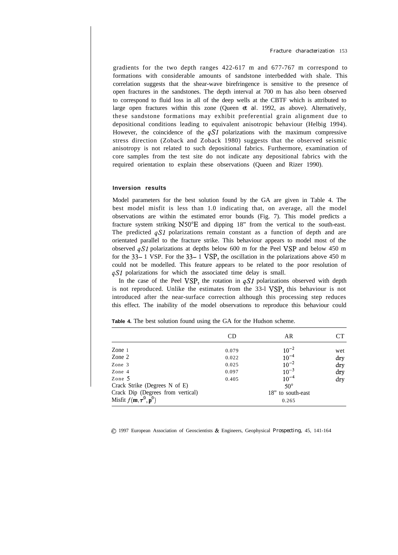gradients for the two depth ranges 422-617 m and 677-767 m correspond to formations with considerable amounts of sandstone interbedded with shale. This correlation suggests that the shear-wave birefringence is sensitive to the presence of open fractures in the sandstones. The depth interval at 700 m has also been observed to correspond to fluid loss in all of the deep wells at the CBTF which is attributed to large open fractures within this zone (Queen *et al.* 1992, as above). Alternatively, these sandstone formations may exhibit preferential grain alignment due to depositional conditions leading to equivalent anisotropic behaviour (Helbig 1994). However, the coincidence of the  $qS1$  polarizations with the maximum compressive stress direction (Zoback and Zoback 1980) suggests that the observed seismic anisotropy is not related to such depositional fabrics. Furthermore, examination of core samples from the test site do not indicate any depositional fabrics with the required orientation to explain these observations (Queen and Rizer 1990).

## **Inversion results**

Model parameters for the best solution found by the GA are given in Table 4. The best model misfit is less than 1.0 indicating that, on average, all the model observations are within the estimated error bounds (Fig. 7). This model predicts a fracture system striking N50"E and dipping 18" from the vertical to the south-east. The predicted  $qSI$  polarizations remain constant as a function of depth and are orientated parallel to the fracture strike. This behaviour appears to model most of the observed  $qS1$  polarizations at depths below 600 m for the Peel VSP and below 450 m for the  $33-1$  VSP. For the  $33-1$  VSP, the oscillation in the polarizations above 450 m could not be modelled. This feature appears to be related to the poor resolution of qS1 polarizations for which the associated time delay is small.

In the case of the Peel VSP, the rotation in  $qS1$  polarizations observed with depth is not reproduced. Unlike the estimates from the 33-l VSP, this behaviour is not introduced after the near-surface correction although this processing step reduces this effect. The inability of the model observations to reproduce this behaviour could

**Table 4.** The best solution found using the GA for the Hudson scheme.

|                                                                                                                        | CD                                        | AR                                                                                                          | CТ                              |
|------------------------------------------------------------------------------------------------------------------------|-------------------------------------------|-------------------------------------------------------------------------------------------------------------|---------------------------------|
| Zone $1$<br>Zone 2<br>Zone 3<br>Zone 4<br>Zone 5<br>Crack Strike (Degrees N of E)<br>Crack Dip (Degrees from vertical) | 0.079<br>0.022<br>0.025<br>0.097<br>0.405 | $10^{-2}$<br>$10^{-4}$<br>$10^{-2}$<br>$10^{-3}$<br>$10^{-4}$<br>$50^{\circ}$<br>18" to south-east<br>0.265 | wet<br>dry<br>dry<br>dry<br>dry |
| Misfit $f(\mathbf{m}, \tau^0, \mathbf{p}^0)$                                                                           |                                           |                                                                                                             |                                 |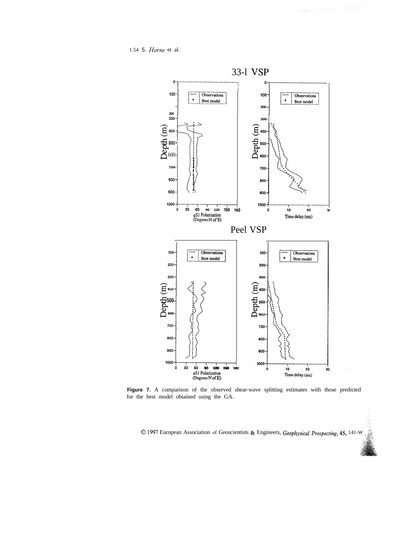1.54 *S. Home* et al.

![](_page_13_Figure_2.jpeg)

Figure 7. A comparison of the observed shear-wave splitting estimates with those predicted for the best model obtained using the GA.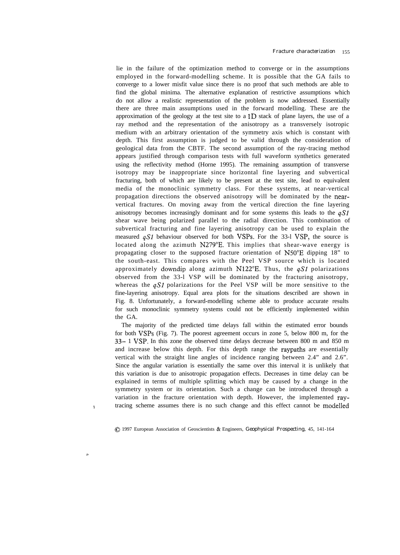lie in the failure of the optimization method to converge or in the assumptions employed in the forward-modelling scheme. It is possible that the GA fails to converge to a lower misfit value since there is no proof that such methods are able to find the global minima. The alternative explanation of restrictive assumptions which do not allow a realistic representation of the problem is now addressed. Essentially there are three main assumptions used in the forward modelling. These are the approximation of the geology at the test site to a  $1D$  stack of plane layers, the use of a ray method and the representation of the anisotropy as a transversely isotropic medium with an arbitrary orientation of the symmetry axis which is constant with depth. This first assumption is judged to be valid through the consideration of geological data from the CBTF. The second assumption of the ray-tracing method appears justified through comparison tests with full waveform synthetics generated using the reflectivity method (Horne 1995). The remaining assumption of transverse isotropy may be inappropriate since horizontal fine layering and subvertical fracturing, both of which are likely to be present at the test site, lead to equivalent media of the monoclinic symmetry class. For these systems, at near-vertical propagation directions the observed anisotropy will be dominated by the nearvertical fractures. On moving away from the vertical direction the fine layering anisotropy becomes increasingly dominant and for some systems this leads to the  $qS1$ shear wave being polarized parallel to the radial direction. This combination of subvertical fracturing and fine layering anisotropy can be used to explain the measured  $qSI$  behaviour observed for both VSPs. For the 33-l VSP, the source is located along the azimuth N279"E. This implies that shear-wave energy is propagating closer to the supposed fracture orientation of N50"E dipping 18" to the south-east. This compares with the Peel VSP source which is located approximately downdip along azimuth N122°E. Thus, the  $qSI$  polarizations observed from the 33-l VSP will be dominated by the fracturing anisotropy, whereas the  $qS1$  polarizations for the Peel VSP will be more sensitive to the fine-layering anisotropy. Equal area plots for the situations described are shown in Fig. 8. Unfortunately, a forward-modelling scheme able to produce accurate results for such monoclinic symmetry systems could not be efficiently implemented within the GA.

The majority of the predicted time delays fall within the estimated error bounds for both VSPs (Fig. 7). The poorest agreement occurs in zone 5, below 800 m, for the 33- 1 VSP. In this zone the observed time delays decrease between 800 m and 850 m and increase below this depth. For this depth range the raypaths are essentially vertical with the straight line angles of incidence ranging between 2.4" and 2.6". Since the angular variation is essentially the same over this interval it is unlikely that this variation is due to anisotropic propagation effects. Decreases in time delay can be explained in terms of multiple splitting which may be caused by a change in the symmetry system or its orientation. Such a change can be introduced through a variation in the fracture orientation with depth. However, the implemented raytracing scheme assumes there is no such change and this effect cannot be modelled

\$.J 1997 European Association of Geoscientists & Engineers, *Geophysical Prospecting,* 45, 141-164

<sup>I</sup>

n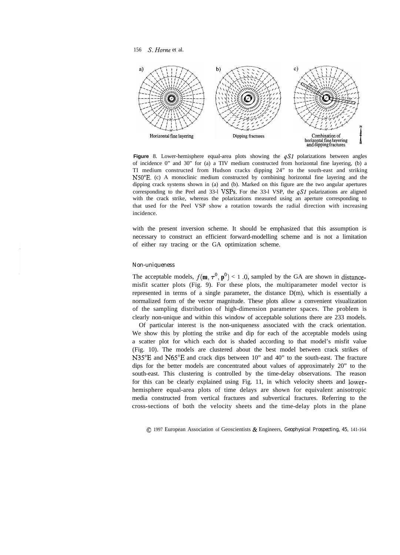156 S. *Home* et al.

![](_page_15_Figure_1.jpeg)

**Figure** 8. Lower-hemisphere equal-area plots showing the qS1 polarizations between angles of incidence 0" and 30" for (a) a TIV medium constructed from horizontal fine layering, (b) a TI medium constructed from Hudson cracks dipping 24" to the south-east and striking N50"E. (c) A monoclinic medium constructed by combining horizontal fine layering and the dipping crack systems shown in (a) and (b). Marked on this figure are the two angular apertures corresponding to the Peel and 33-l VSPs. For the 33-l VSP, the  $qS1$  polarizations are aligned with the crack strike, whereas the polarizations measured using an aperture corresponding to that used for the Peel VSP show a rotation towards the radial direction with increasing incidence.

with the present inversion scheme. It should be emphasized that this assumption is necessary to construct an efficient forward-modelling scheme and is not a limitation of either ray tracing or the GA optimization scheme.

#### *Non-uniqueness*

The acceptable models,  $f(\mathbf{m}, \tau^0, \mathbf{p}^0) < 1$  .0, sampled by the GA are shown in distancemisfit scatter plots (Fig. 9). For these plots, the multiparameter model vector is represented in terms of a single parameter, the distance D(m), which is essentially a normalized form of the vector magnitude. These plots allow a convenient visualization of the sampling distribution of high-dimension parameter spaces. The problem is clearly non-unique and within this window of acceptable solutions there are 233 models.

Of particular interest is the non-uniqueness associated with the crack orientation. We show this by plotting the strike and dip for each of the acceptable models using a scatter plot for which each dot is shaded according to that model's misfit value (Fig. 10). The models are clustered about the best model between crack strikes of N35"E and N65"E and crack dips between 10" and 40" to the south-east. The fracture dips for the better models are concentrated about values of approximately 20" to the south-east. This clustering is controlled by the time-delay observations. The reason for this can be clearly explained using Fig. 11, in which velocity sheets and lowerhemisphere equal-area plots of time delays are shown for equivalent anisotropic media constructed from vertical fractures and subvertical fractures. Referring to the cross-sections of both the velocity sheets and the time-delay plots in the plane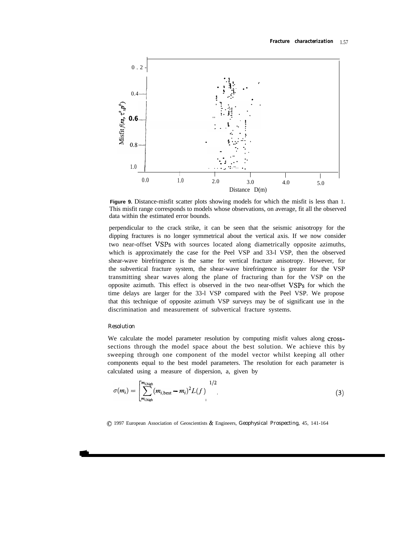![](_page_16_Figure_1.jpeg)

**Figure 9.** Distance-misfit scatter plots showing models for which the misfit is less than 1. This misfit range corresponds to models whose observations, on average, fit all the observed data within the estimated error bounds.

perpendicular to the crack strike, it can be seen that the seismic anisotropy for the dipping fractures is no longer symmetrical about the vertical axis. If we now consider two near-offset VSPs with sources located along diametrically opposite azimuths, which is approximately the case for the Peel VSP and 33-l VSP, then the observed shear-wave birefringence is the same for vertical fracture anisotropy. However, for the subvertical fracture system, the shear-wave birefringence is greater for the VSP transmitting shear waves along the plane of fracturing than for the VSP on the opposite azimuth. This effect is observed in the two near-offset VSPs for which the time delays are larger for the 33-l VSP compared with the Peel VSP. We propose that this technique of opposite azimuth VSP surveys may be of significant use in the discrimination and measurement of subvertical fracture systems.

# *Resolution*

We calculate the model parameter resolution by computing misfit values along crosssections through the model space about the best solution. We achieve this by sweeping through one component of the model vector whilst keeping all other components equal to the best model parameters. The resolution for each parameter is calculated using a measure of dispersion, a, given by

$$
\sigma(m_i) = \left[ \sum_{m_{i,\text{high}}}^{m_{i,\text{high}}} (m_{i,\text{best}} - m_i)^2 L(f) \right]^{1/2} \tag{3}
$$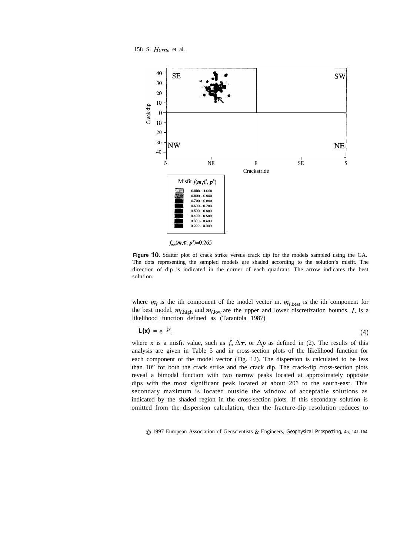158 S. *Home* et al.

![](_page_17_Figure_1.jpeg)

 $f_{\min}(m,\tau^{\circ},p^{\circ})=0.265$ 

Figure 10. Scatter plot of crack strike versus crack dip for the models sampled using the GA. The dots representing the sampled models are shaded according to the solution's misfit. The direction of dip is indicated in the corner of each quadrant. The arrow indicates the best solution.

where  $m_i$  is the ith component of the model vector m.  $m_{i,\text{best}}$  is the ith component for the best model.  $m_{i,\text{high}}$  and  $m_{i,\text{low}}$  are the upper and lower discretization bounds. L is a likelihood function defined as (Tarantola 1987)

$$
\mathbf{L}(\mathbf{x}) = e^{-\frac{1}{2}x},\tag{4}
$$

where x is a misfit value, such as  $f$ ,  $\Delta \tau$ , or  $\Delta p$  as defined in (2). The results of this analysis are given in Table 5 and in cross-section plots of the likelihood function for each component of the model vector (Fig. 12). The dispersion is calculated to be less than 10" for both the crack strike and the crack dip. The crack-dip cross-section plots reveal a bimodal function with two narrow peaks located at approximately opposite dips with the most significant peak located at about 20" to the south-east. This secondary maximum is located outside the window of acceptable solutions as indicated by the shaded region in the cross-section plots. If this secondary solution is omitted from the dispersion calculation, then the fracture-dip resolution reduces to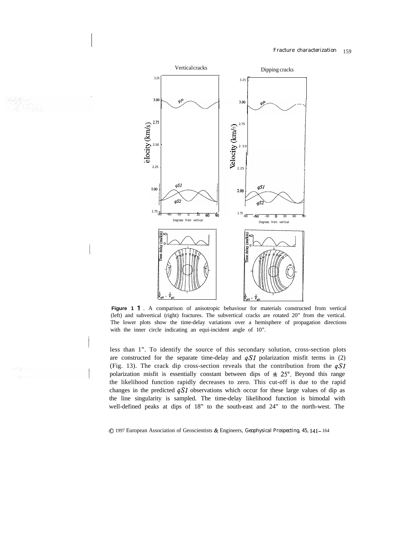![](_page_18_Figure_1.jpeg)

infar con  $\mathcal{A}_2(\mathcal{F})\neq\mathcal{F}$ 

Figure 1 1 . A comparison of anisotropic behaviour for materials constructed from vertical (left) and subvertical (right) fractures. The subvertical cracks are rotated 20" from the vertical. The lower plots show the time-delay variations over a hemisphere of propagation directions with the inner circle indicating an equi-incident angle of 10".

less than 1". To identify the source of this secondary solution, cross-section plots are constructed for the separate time-delay and  $qS1$  polarization misfit terms in (2) (Fig. 13). The crack dip cross-section reveals that the contribution from the  $qS1$ polarization misfit is essentially constant between dips of  $\pm 25^{\circ}$ . Beyond this range the likelihood function rapidly decreases to zero. This cut-off is due to the rapid changes in the predicted  $qS1$  observations which occur for these large values of dip as the line singularity is sampled. The time-delay likelihood function is bimodal with well-defined peaks at dips of 18" to the south-east and 24" to the north-west. The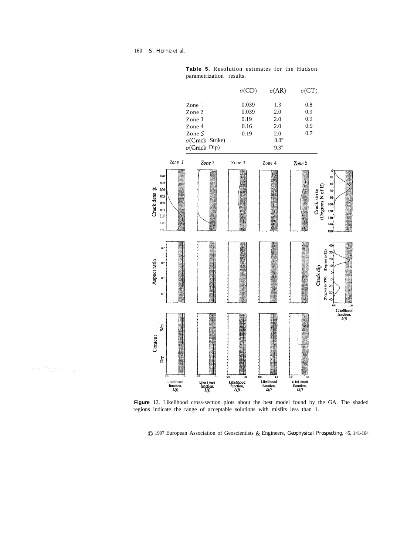ma diyaa dag

![](_page_19_Figure_1.jpeg)

**Table 5.** Resolution estimates for the Hudson parametrization results.

**Figure** 12. Likelihood cross-section plots about the best model found by the GA. The shaded regions indicate the range of acceptable solutions with misfits less than 1.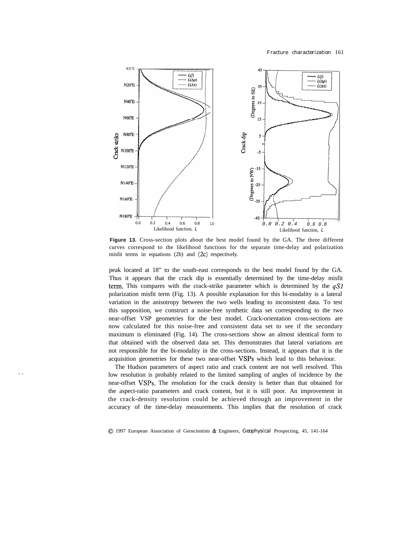![](_page_20_Figure_1.jpeg)

**Figure 13.** Cross-section plots about the best model found by the GA. The three different curves correspond to the likelihood functions for the separate time-delay and polarization misfit terms in equations (2b) and  $(2c)$  respectively.

peak located at 18" to the south-east corresponds to the best model found by the GA. Thus it appears that the crack dip is essentially determined by the time-delay misfit term. This compares with the crack-strike parameter which is determined by the  $qS1$ polarization misfit term (Fig. 13). A possible explanation for this bi-modality is a lateral variation in the anisotropy between the two wells leading to inconsistent data. To test this supposition, we construct a noise-free synthetic data set corresponding to the two near-offset VSP geometries for the best model. Crack-orientation cross-sections are now calculated for this noise-free and consistent data set to see if the secondary maximum is eliminated (Fig. 14). The cross-sections show an almost identical form to that obtained with the observed data set. This demonstrates that lateral variations are not responsible for the bi-modality in the cross-sections. Instead, it appears that it is the acquisition geometries for these two near-offset VSPs which lead to this behaviour.

The Hudson parameters of aspect ratio and crack content are not well resolved. This low resolution is probably related to the limited sampling of angles of incidence by the near-offset VSPs. The resolution for the crack density is better than that obtained for the aspect-ratio parameters and crack content, but it is still poor. An improvement in the crack-density resolution could be achieved through an improvement in the accuracy of the time-delay measurements. This implies that the resolution of crack

. -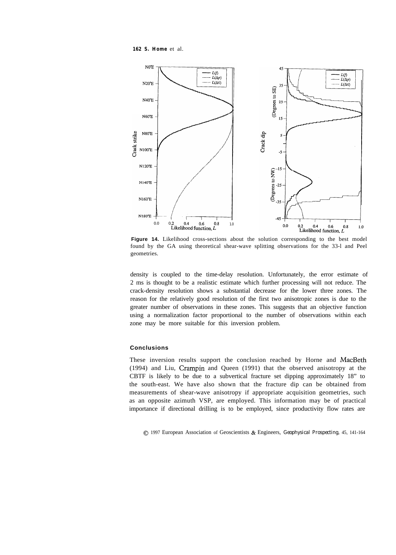*162 S. Home* et al.

![](_page_21_Figure_1.jpeg)

**Figure 14.** Likelihood cross-sections about the solution corresponding to the best model found by the GA using theoretical shear-wave splitting observations for the 33-l and Peel geometries.

density is coupled to the time-delay resolution. Unfortunately, the error estimate of 2 ms is thought to be a realistic estimate which further processing will not reduce. The crack-density resolution shows a substantial decrease for the lower three zones. The reason for the relatively good resolution of the first two anisotropic zones is due to the greater number of observations in these zones. This suggests that an objective function using a normalization factor proportional to the number of observations within each zone may be more suitable for this inversion problem.

## **Conclusions**

These inversion results support the conclusion reached by Horne and MacBeth (1994) and Liu, Crampin and Queen (1991) that the observed anisotropy at the CBTF is likely to be due to a subvertical fracture set dipping approximately 18" to the south-east. We have also shown that the fracture dip can be obtained from measurements of shear-wave anisotropy if appropriate acquisition geometries, such as an opposite azimuth VSP, are employed. This information may be of practical importance if directional drilling is to be employed, since productivity flow rates are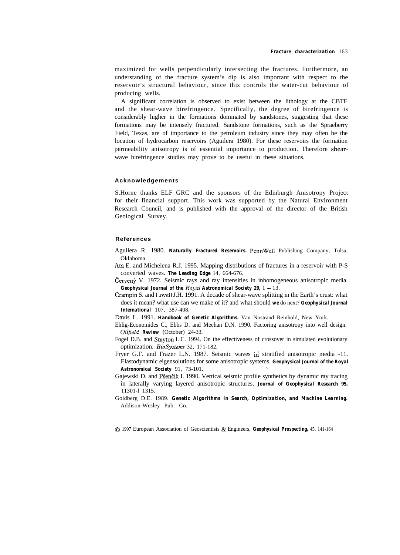maximized for wells perpendicularly intersecting the fractures. Furthermore, an understanding of the fracture system's dip is also important with respect to the reservoir's structural behaviour, since this controls the water-cut behaviour of producing wells.

A significant correlation is observed to exist between the lithology at the CBTF and the shear-wave birefringence. Specifically, the degree of birefringence is considerably higher in the formations dominated by sandstones, suggesting that these formations may be intensely fractured. Sandstone formations, such as the Spraeberry Field, Texas, are of importance to the petroleum industry since they may often be the location of hydrocarbon reservoirs (Aguilera 1980). For these reservoirs the formation permeability anisotropy is of essential importance to production. Therefore shearwave birefringence studies may prove to be useful in these situations.

#### **Acknowledgements**

S.Horne thanks ELF GRC and the sponsors of the Edinburgh Anisotropy Project for their financial support. This work was supported by the Natural Environment Research Council, and is published with the approval of the director of the British Geological Survey.

#### **References**

- Aguilera R. 1980. *Naturally Fractured Reservoirs.* PennWell Publishing Company, Tulsa, Oklahoma.
- Ata E. and Michelena R.J. 1995. Mapping distributions of fractures in a reservoir with P-S converted waves. *The Leading Edge* 14, 664-676.
- Červený V. 1972. Seismic rays and ray intensities in inhomogeneous anisotropic media. *Geophysical Journal of the Royal Astronomical Society 29,* 1 - 13.
- Crampin S. and Lovell J.H. 1991. A decade of shear-wave splitting in the Earth's crust: what does it mean? what use can we make of it? and what should *we* do next? *Geophysical Journal International* 107, 387-408.
- Davis L. 1991. *Handbook of Genetic Algorithms*. Van Nostrand Reinhold, New York.
- Ehlig-Economides C., Ebbs D. and Meehan D.N. 1990. Factoring anisotropy into well design. *Oiljield Review* (October) 24-33.
- Fogel D.B. and Stayton L.C. 1994. On the effectiveness of crossover in simulated evolutionary optimization. *BioSystems* 32, 171-182.
- Fryer G.F. and Frazer L.N. 1987. Seismic waves in stratified anisotropic media -11. Elastodynamic eigensolutions for some anisotropic systems. *Geophysical Journal of the Royal Astronomical Society* 91, 73-101. '\_
- Gajewski D. and Pšenčik I. 1990. Vertical seismic profile synthetics by dynamic ray tracing in laterally varying layered anisotropic structures. *Journal of Geophysical Research 95,* 11301-l 1315.
- Goldberg D.E. 1989. *Genetic Algorithms in Search, Optimization, and Machine Learning.* Addison-Wesley Pub. Co.